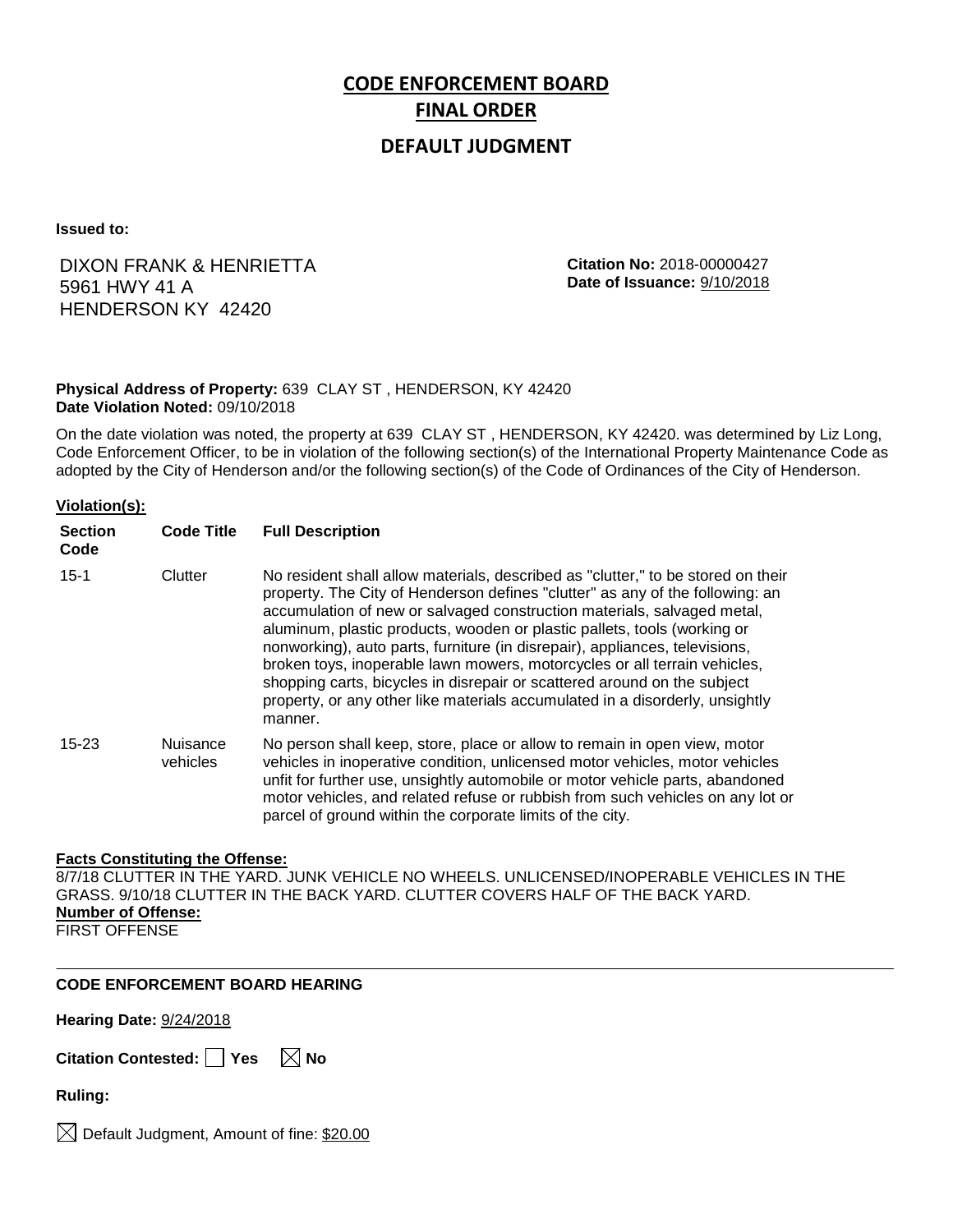# **CODE ENFORCEMENT BOARD FINAL ORDER**

# **DEFAULT JUDGMENT**

**Issued to:**

# DIXON FRANK & HENRIETTA 5961 HWY 41 A HENDERSON KY 42420

**Citation No:** 2018-00000427 **Date of Issuance:** 9/10/2018

## **Physical Address of Property:** 639 CLAY ST , HENDERSON, KY 42420 **Date Violation Noted:** 09/10/2018

On the date violation was noted, the property at 639 CLAY ST , HENDERSON, KY 42420. was determined by Liz Long, Code Enforcement Officer, to be in violation of the following section(s) of the International Property Maintenance Code as adopted by the City of Henderson and/or the following section(s) of the Code of Ordinances of the City of Henderson.

## **Violation(s):**

| <b>Section</b><br>Code | <b>Code Title</b>    | <b>Full Description</b>                                                                                                                                                                                                                                                                                                                                                                                                                                                                                                                                                                                                                                     |
|------------------------|----------------------|-------------------------------------------------------------------------------------------------------------------------------------------------------------------------------------------------------------------------------------------------------------------------------------------------------------------------------------------------------------------------------------------------------------------------------------------------------------------------------------------------------------------------------------------------------------------------------------------------------------------------------------------------------------|
| $15 - 1$               | Clutter              | No resident shall allow materials, described as "clutter," to be stored on their<br>property. The City of Henderson defines "clutter" as any of the following: an<br>accumulation of new or salvaged construction materials, salvaged metal,<br>aluminum, plastic products, wooden or plastic pallets, tools (working or<br>nonworking), auto parts, furniture (in disrepair), appliances, televisions,<br>broken toys, inoperable lawn mowers, motorcycles or all terrain vehicles,<br>shopping carts, bicycles in disrepair or scattered around on the subject<br>property, or any other like materials accumulated in a disorderly, unsightly<br>manner. |
| $15 - 23$              | Nuisance<br>vehicles | No person shall keep, store, place or allow to remain in open view, motor<br>vehicles in inoperative condition, unlicensed motor vehicles, motor vehicles<br>unfit for further use, unsightly automobile or motor vehicle parts, abandoned<br>motor vehicles, and related refuse or rubbish from such vehicles on any lot or<br>parcel of ground within the corporate limits of the city.                                                                                                                                                                                                                                                                   |

## **Facts Constituting the Offense:**

8/7/18 CLUTTER IN THE YARD. JUNK VEHICLE NO WHEELS. UNLICENSED/INOPERABLE VEHICLES IN THE GRASS. 9/10/18 CLUTTER IN THE BACK YARD. CLUTTER COVERS HALF OF THE BACK YARD. **Number of Offense:** FIRST OFFENSE

## **CODE ENFORCEMENT BOARD HEARING**

**Hearing Date:** 9/24/2018

**Citation Contested:** □ Yes  $\ \ \boxed{\times}$  No

**Ruling:**

 $\boxtimes$  Default Judgment, Amount of fine: \$20.00